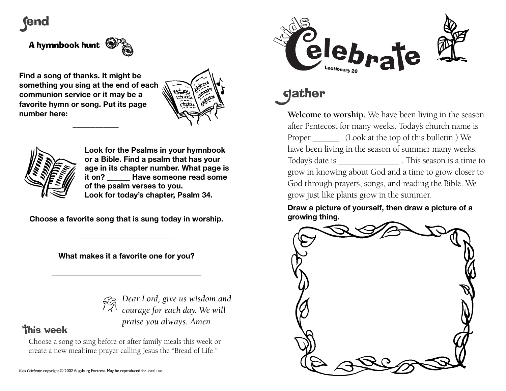## **rend**

A hymnbook hunt



**Find a song of thanks. It might be something you sing at the end of each communion service or it may be a favorite hymn or song. Put its page number here:**

**\_\_\_\_\_\_\_\_\_\_\_\_**





**Look for the Psalms in your hymnbook or a Bible. Find a psalm that has your age in its chapter number. What page is it on? \_\_\_\_\_\_ Have someone read some of the psalm verses to you. Look for today's chapter, Psalm 34.**

**Choose a favorite song that is sung today in worship.**

**\_\_\_\_\_\_\_\_\_\_\_\_\_\_\_\_\_\_\_\_\_\_\_\_**

**What makes it a favorite one for you?**

**\_\_\_\_\_\_\_\_\_\_\_\_\_\_\_\_\_\_\_\_\_\_\_\_\_\_\_\_\_\_\_\_\_\_\_\_\_\_\_**



*Dear Lord, give us wisdom and courage for each day. We will praise you always. Amen*

## **This week**

Choose a song to sing before or after family meals this week or create a new mealtime prayer calling Jesus the "Bread of Life."



**gather** 

**Welcome to worship.** We have been living in the season after Pentecost for many weeks. Today's church name is Proper \_\_\_\_\_\_\_\_ . (Look at the top of this bulletin.) We have been living in the season of summer many weeks. Today's date is \_\_\_\_\_\_\_\_\_\_\_\_\_\_ . This season is a time to grow in knowing about God and a time to grow closer to God through prayers, songs, and reading the Bible. We grow just like plants grow in the summer.

**Draw a picture of yourself, then draw a picture of a growing thing.**